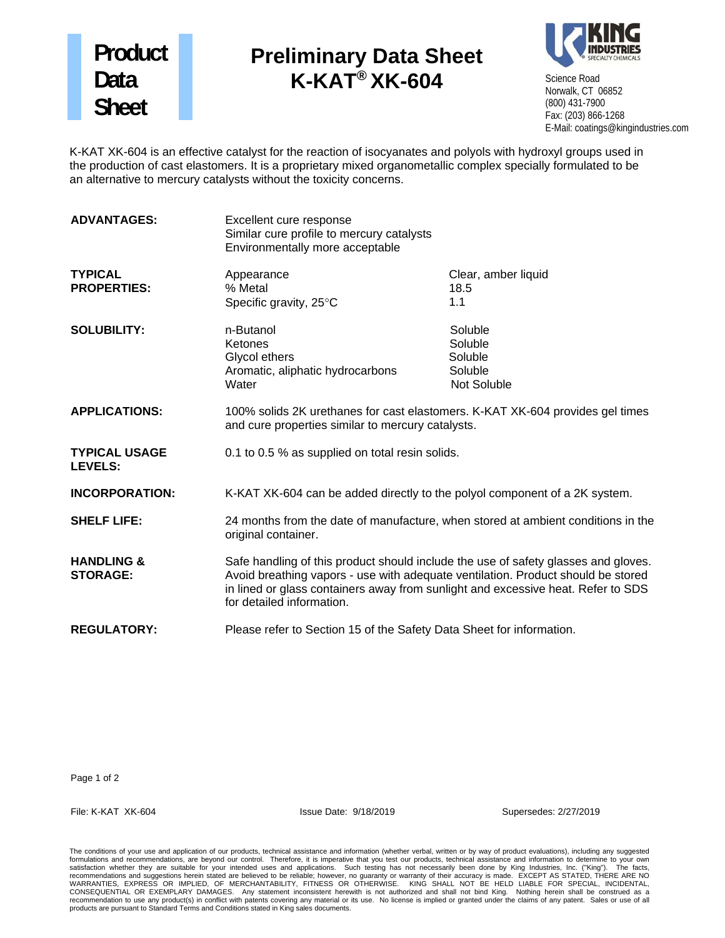## **Product Data Sheet**

## **Preliminary Data Sheet K-KAT® XK-604**



Science Road Norwalk, CT 06852 (800) 431-7900 Fax: (203) 866-1268 E-Mail: coatings@kingindustries.com

K-KAT XK-604 is an effective catalyst for the reaction of isocyanates and polyols with hydroxyl groups used in the production of cast elastomers. It is a proprietary mixed organometallic complex specially formulated to be an alternative to mercury catalysts without the toxicity concerns.

| <b>ADVANTAGES:</b>                       | Excellent cure response<br>Similar cure profile to mercury catalysts<br>Environmentally more acceptable                                                                                                                                                                                 |                                                         |
|------------------------------------------|-----------------------------------------------------------------------------------------------------------------------------------------------------------------------------------------------------------------------------------------------------------------------------------------|---------------------------------------------------------|
| <b>TYPICAL</b><br><b>PROPERTIES:</b>     | Appearance<br>% Metal<br>Specific gravity, 25°C                                                                                                                                                                                                                                         | Clear, amber liquid<br>18.5<br>1.1                      |
| <b>SOLUBILITY:</b>                       | n-Butanol<br>Ketones<br>Glycol ethers<br>Aromatic, aliphatic hydrocarbons<br>Water                                                                                                                                                                                                      | Soluble<br>Soluble<br>Soluble<br>Soluble<br>Not Soluble |
| <b>APPLICATIONS:</b>                     | 100% solids 2K urethanes for cast elastomers. K-KAT XK-604 provides gel times<br>and cure properties similar to mercury catalysts.                                                                                                                                                      |                                                         |
| <b>TYPICAL USAGE</b><br><b>LEVELS:</b>   | 0.1 to 0.5 % as supplied on total resin solids.                                                                                                                                                                                                                                         |                                                         |
| <b>INCORPORATION:</b>                    | K-KAT XK-604 can be added directly to the polyol component of a 2K system.                                                                                                                                                                                                              |                                                         |
| <b>SHELF LIFE:</b>                       | 24 months from the date of manufacture, when stored at ambient conditions in the<br>original container.                                                                                                                                                                                 |                                                         |
| <b>HANDLING &amp;</b><br><b>STORAGE:</b> | Safe handling of this product should include the use of safety glasses and gloves.<br>Avoid breathing vapors - use with adequate ventilation. Product should be stored<br>in lined or glass containers away from sunlight and excessive heat. Refer to SDS<br>for detailed information. |                                                         |
| <b>REGULATORY:</b>                       | Please refer to Section 15 of the Safety Data Sheet for information.                                                                                                                                                                                                                    |                                                         |

Page 1 of 2

File: K-KAT XK-604 Issue Date: 9/18/2019 Supersedes: 2/27/2019

The conditions of your use and application of our products, technical assistance and information (whether verbal, written or by way of product evaluations), including any suggested formulations and recommendations, are beyond our control. Therefore, it is imperative that you test our products, technical assistance and information to determine to your own<br>satisfaction whether they are suitable for you products are pursuant to Standard Terms and Conditions stated in King sales documents.